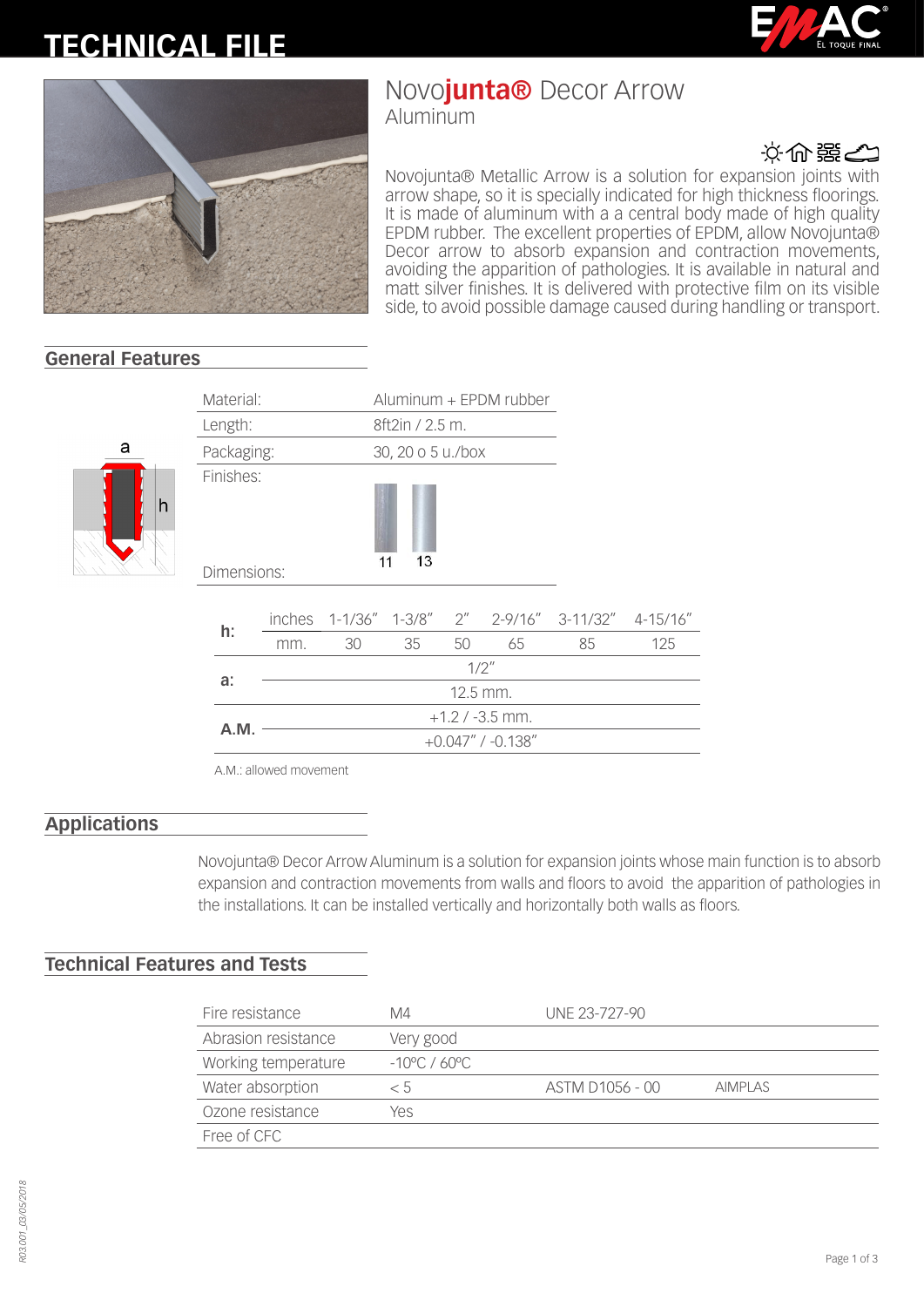# **TECHNICAL FILE**





## Novo**junta®** Decor Arrow

Aluminum



Novojunta® Metallic Arrow is a solution for expansion joints with arrow shape, so it is specially indicated for high thickness floorings. It is made of aluminum with a a central body made of high quality EPDM rubber. The excellent properties of EPDM, allow Novojunta® Decor arrow to absorb expansion and contraction movements, avoiding the apparition of pathologies. It is available in natural and matt silver finishes. It is delivered with protective film on its visible side, to avoid possible damage caused during handling or transport.

 $4-15/16"$ 

### **General Features**



| Material:  |                          |                   |    | $Aluminum + EPDM rubber$ |    |                         |                                                  |     |  |  |  |
|------------|--------------------------|-------------------|----|--------------------------|----|-------------------------|--------------------------------------------------|-----|--|--|--|
| Length:    |                          |                   |    | 8ft2in / 2.5 m.          |    |                         |                                                  |     |  |  |  |
| Packaging: |                          |                   |    | 30, 20 o 5 u./box        |    |                         |                                                  |     |  |  |  |
|            | Finishes:<br>Dimensions: |                   |    | 13<br>11                 |    |                         |                                                  |     |  |  |  |
|            |                          |                   |    |                          |    |                         | inches 1-1/36" 1-3/8" 2" 2-9/16" 3-11/32" 4-15/1 |     |  |  |  |
| h:         |                          | mm.               | 30 | 35                       | 50 | 65                      | 85                                               | 125 |  |  |  |
|            |                          | 1/2''             |    |                          |    |                         |                                                  |     |  |  |  |
| a:         |                          | 12.5 mm.          |    |                          |    |                         |                                                  |     |  |  |  |
| A.M.       |                          | $+1.2$ / -3.5 mm. |    |                          |    |                         |                                                  |     |  |  |  |
|            |                          |                   |    |                          |    | $+0.047''$ / $-0.138''$ |                                                  |     |  |  |  |

A.M.: allowed movement

#### **Applications**

Novojunta® Decor Arrow Aluminum is a solution for expansion joints whose main function is to absorb expansion and contraction movements from walls and floors to avoid the apparition of pathologies in the installations. It can be installed vertically and horizontally both walls as floors.

#### **Technical Features and Tests**

| Fire resistance     | M4                      | UNE 23-727-90   |                |
|---------------------|-------------------------|-----------------|----------------|
| Abrasion resistance | Very good               |                 |                |
| Working temperature | $-10^{\circ}$ C / 60 °C |                 |                |
| Water absorption    | < 5                     | ASTM D1056 - 00 | <b>AIMPLAS</b> |
| Ozone resistance    | Yes                     |                 |                |
| Free of CFC         |                         |                 |                |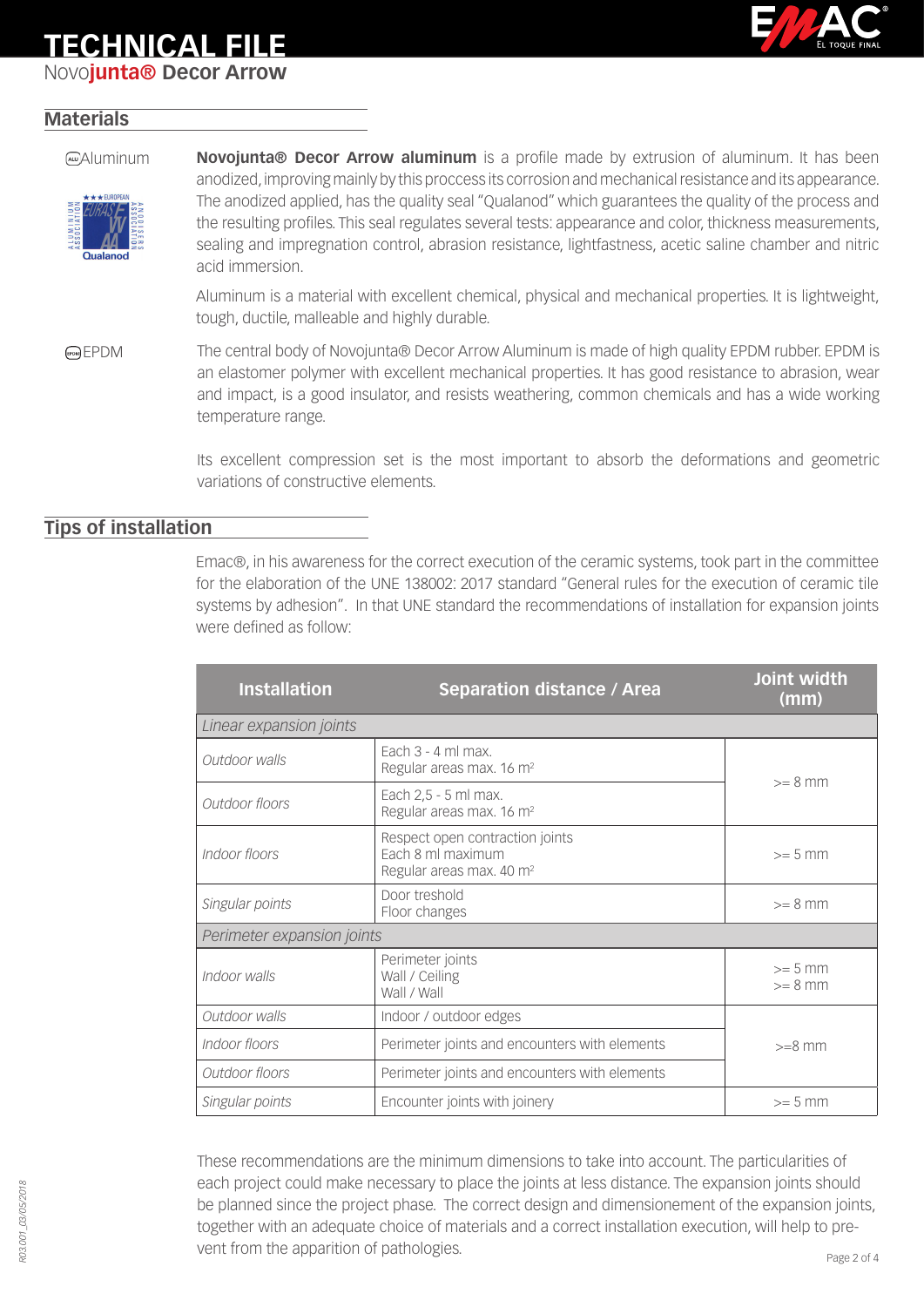### **TECHNICAL FILE**

Novo**junta® Decor Arrow**



#### **Materials**



Aluminum **Novojunta® Decor Arrow aluminum** is a profile made by extrusion of aluminum. It has been anodized, improving mainly by this proccess its corrosion and mechanical resistance and its appearance. The anodized applied, has the quality seal "Qualanod" which guarantees the quality of the process and the resulting profiles. This seal regulates several tests: appearance and color, thickness measurements, sealing and impregnation control, abrasion resistance, lightfastness, acetic saline chamber and nitric acid immersion.

> Aluminum is a material with excellent chemical, physical and mechanical properties. It is lightweight, tough, ductile, malleable and highly durable.

EPDM The central body of Novojunta® Decor Arrow Aluminum is made of high quality EPDM rubber. EPDM is an elastomer polymer with excellent mechanical properties. It has good resistance to abrasion, wear and impact, is a good insulator, and resists weathering, common chemicals and has a wide working temperature range.

> Its excellent compression set is the most important to absorb the deformations and geometric variations of constructive elements.

#### **Tips of installation**

Emac®, in his awareness for the correct execution of the ceramic systems, took part in the committee for the elaboration of the UNE 138002: 2017 standard "General rules for the execution of ceramic tile systems by adhesion". In that UNE standard the recommendations of installation for expansion joints were defined as follow:

| <b>Installation</b>        | <b>Separation distance / Area</b>                                                            | Joint width<br>(mm)    |  |  |  |  |  |  |
|----------------------------|----------------------------------------------------------------------------------------------|------------------------|--|--|--|--|--|--|
| Linear expansion joints    |                                                                                              |                        |  |  |  |  |  |  |
| Outdoor walls              | Fach $3 - 4$ ml max.<br>Regular areas max. 16 m <sup>2</sup>                                 | $>= 8$ mm              |  |  |  |  |  |  |
| Outdoor floors             | Each 2,5 - 5 ml max.<br>Regular areas max. 16 m <sup>2</sup>                                 |                        |  |  |  |  |  |  |
| Indoor floors              | Respect open contraction joints<br>Each 8 ml maximum<br>Regular areas max. 40 m <sup>2</sup> | $>= 5$ mm              |  |  |  |  |  |  |
| Singular points            | Door treshold<br>Floor changes                                                               | $>= 8$ mm              |  |  |  |  |  |  |
| Perimeter expansion joints |                                                                                              |                        |  |  |  |  |  |  |
| Indoor walls               | Perimeter joints<br>Wall / Ceiling<br>Wall / Wall                                            | $>= 5$ mm<br>$>= 8$ mm |  |  |  |  |  |  |
| Outdoor walls              | Indoor / outdoor edges                                                                       |                        |  |  |  |  |  |  |
| Indoor floors              | Perimeter joints and encounters with elements                                                | $>=8$ mm               |  |  |  |  |  |  |
| Outdoor floors             | Perimeter joints and encounters with elements                                                |                        |  |  |  |  |  |  |
| Singular points            | Encounter joints with joinery                                                                |                        |  |  |  |  |  |  |

These recommendations are the minimum dimensions to take into account. The particularities of each project could make necessary to place the joints at less distance. The expansion joints should be planned since the project phase. The correct design and dimensionement of the expansion joints, together with an adequate choice of materials and a correct installation execution, will help to prevent from the apparition of pathologies.